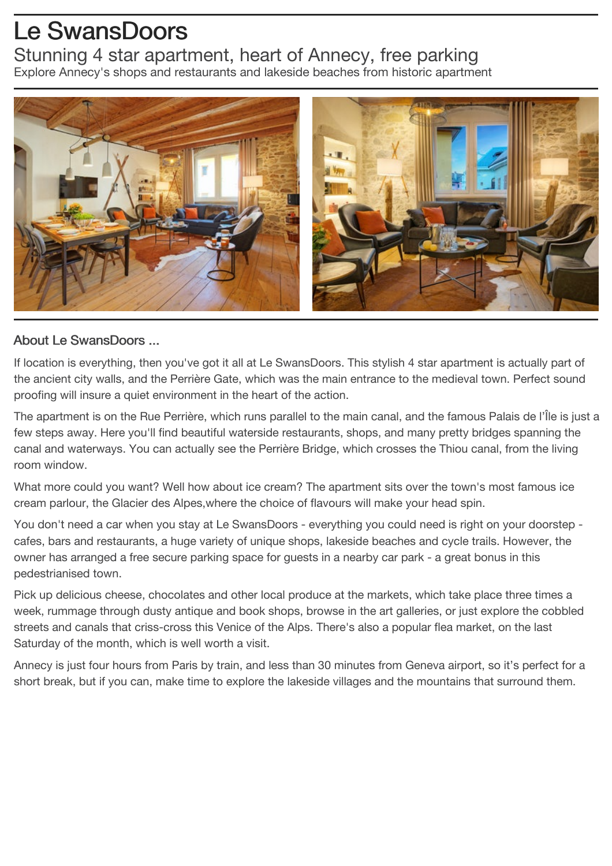## Le SwansDoors Stunning 4 star apartment, heart of Annecy, free parking Explore Annecy's shops and restaurants and lakeside beaches from historic apartment



## About Le SwansDoors ...

If location is everything, then you've got it all at Le SwansDoors. This stylish 4 star apartment is actually part of the ancient city walls, and the Perrière Gate, which was the main entrance to the medieval town. Perfect sound proofing will insure a quiet environment in the heart of the action.

The apartment is on the Rue Perrière, which runs parallel to the main canal, and the famous Palais de l'Île is just a few steps away. Here you'll find beautiful waterside restaurants, shops, and many pretty bridges spanning the canal and waterways. You can actually see the Perrière Bridge, which crosses the Thiou canal, from the living room window.

What more could you want? Well how about ice cream? The apartment sits over the town's most famous ice cream parlour, the Glacier des Alpes,where the choice of flavours will make your head spin.

You don't need a car when you stay at Le SwansDoors - everything you could need is right on your doorstep cafes, bars and restaurants, a huge variety of unique shops, lakeside beaches and cycle trails. However, the owner has arranged a free secure parking space for guests in a nearby car park - a great bonus in this pedestrianised town.

Pick up delicious cheese, chocolates and other local produce at the markets, which take place three times a week, rummage through dusty antique and book shops, browse in the art galleries, or just explore the cobbled streets and canals that criss-cross this Venice of the Alps. There's also a popular flea market, on the last Saturday of the month, which is well worth a visit.

Annecy is just four hours from Paris by train, and less than 30 minutes from Geneva airport, so it's perfect for a short break, but if you can, make time to explore the lakeside villages and the mountains that surround them.